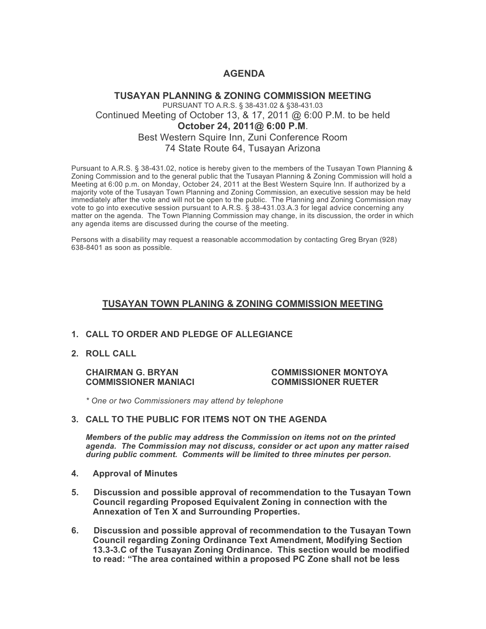# **AGENDA**

## **TUSAYAN PLANNING & ZONING COMMISSION MEETING** PURSUANT TO A.R.S. § 38-431.02 & §38-431.03 Continued Meeting of October 13, & 17, 2011 @ 6:00 P.M. to be held **October 24, 2011@ 6:00 P.M**. Best Western Squire Inn, Zuni Conference Room 74 State Route 64, Tusayan Arizona

Pursuant to A.R.S. § 38-431.02, notice is hereby given to the members of the Tusayan Town Planning & Zoning Commission and to the general public that the Tusayan Planning & Zoning Commission will hold a Meeting at 6:00 p.m. on Monday, October 24, 2011 at the Best Western Squire Inn. If authorized by a majority vote of the Tusayan Town Planning and Zoning Commission, an executive session may be held immediately after the vote and will not be open to the public. The Planning and Zoning Commission may vote to go into executive session pursuant to A.R.S. § 38-431.03.A.3 for legal advice concerning any matter on the agenda. The Town Planning Commission may change, in its discussion, the order in which any agenda items are discussed during the course of the meeting.

Persons with a disability may request a reasonable accommodation by contacting Greg Bryan (928) 638-8401 as soon as possible.

## **TUSAYAN TOWN PLANING & ZONING COMMISSION MEETING**

#### **1. CALL TO ORDER AND PLEDGE OF ALLEGIANCE**

**2. ROLL CALL**

**COMMISSIONER MANIACI COMMISSIONER RUETER**

# **CHAIRMAN G. BRYAN COMMISSIONER MONTOYA**

*\* One or two Commissioners may attend by telephone*

**3. CALL TO THE PUBLIC FOR ITEMS NOT ON THE AGENDA** 

*Members of the public may address the Commission* **o***n items not on the printed agenda. The Commission may not discuss, consider or act upon any matter raised during public comment. Comments will be limited to three minutes per person.*

- **4. Approval of Minutes**
- **5. Discussion and possible approval of recommendation to the Tusayan Town Council regarding Proposed Equivalent Zoning in connection with the Annexation of Ten X and Surrounding Properties.**
- **6. Discussion and possible approval of recommendation to the Tusayan Town Council regarding Zoning Ordinance Text Amendment, Modifying Section 13.3-3.C of the Tusayan Zoning Ordinance. This section would be modified to read: "The area contained within a proposed PC Zone shall not be less**